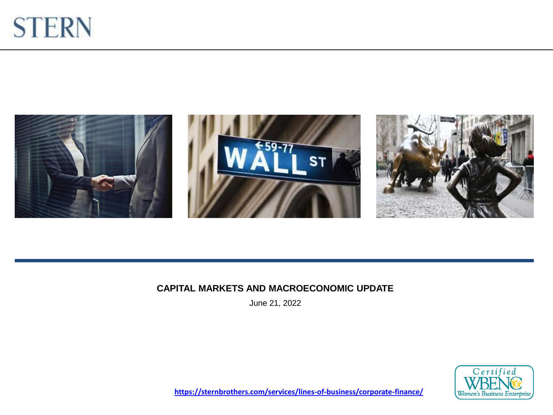



#### **CAPITAL MARKETS AND MACROECONOMIC UPDATE**

June 21, 2022



**<https://sternbrothers.com/services/lines-of-business/corporate-finance/>**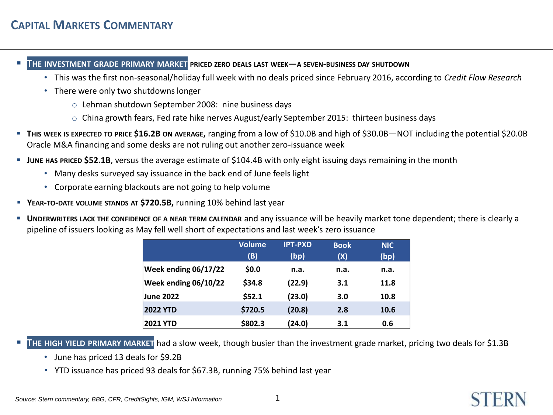- **THE INVESTMENT GRADE PRIMARY MARKET PRICED ZERO DEALS LAST WEEK—<sup>A</sup> SEVEN-BUSINESS DAY SHUTDOWN**
	- This was the first non-seasonal/holiday full week with no deals priced since February 2016, according to *Credit Flow Research*
	- There were only two shutdowns longer
		- o Lehman shutdown September 2008: nine business days
		- $\circ$  China growth fears, Fed rate hike nerves August/early September 2015: thirteen business days
- **THIS WEEK IS EXPECTED TO PRICE \$16.2B ON AVERAGE,** ranging from a low of \$10.0B and high of \$30.0B—NOT including the potential \$20.0B Oracle M&A financing and some desks are not ruling out another zero-issuance week
- **JUNE HAS PRICED \$52.1B**, versus the average estimate of \$104.4B with only eight issuing days remaining in the month
	- Many desks surveyed say issuance in the back end of June feels light
	- Corporate earning blackouts are not going to help volume
- **YEAR-TO-DATE VOLUME STANDS AT \$720.5B,** running 10% behind last year
- **UNDERWRITERS LACK THE CONFIDENCE OF A NEAR TERM CALENDAR** and any issuance will be heavily market tone dependent; there is clearly a pipeline of issuers looking as May fell well short of expectations and last week's zero issuance

|                             | <b>Volume</b> | <b>IPT-PXD</b> | <b>Book</b> | <b>NIC</b> |
|-----------------------------|---------------|----------------|-------------|------------|
|                             | (B)           | (bp)           | (X)         | (bp)       |
| <b>Week ending 06/17/22</b> | \$0.0         | n.a.           | n.a.        | n.a.       |
| Week ending 06/10/22        | \$34.8        | (22.9)         | 3.1         | 11.8       |
| <b>June 2022</b>            | \$52.1        | (23.0)         | 3.0         | 10.8       |
| <b>2022 YTD</b>             | \$720.5       | (20.8)         | 2.8         | 10.6       |
| <b>2021 YTD</b>             | \$802.3       | (24.0)         | 3.1         | 0.6        |

THE HIGH YIELD PRIMARY MARKET had a slow week, though busier than the investment grade market, pricing two deals for \$1.3B

- June has priced 13 deals for \$9.2B
- YTD issuance has priced 93 deals for \$67.3B, running 75% behind last year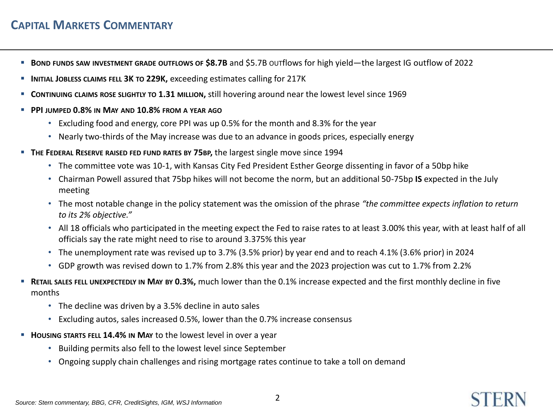## **CAPITAL MARKETS COMMENTARY**

- **BOND FUNDS SAW INVESTMENT GRADE OUTFLOWS OF \$8.7B** and \$5.7B OUTflows for high yield—the largest IG outflow of 2022
- **INITIAL JOBLESS CLAIMS FELL 3K TO 229K,** exceeding estimates calling for 217K
- **CONTINUING CLAIMS ROSE SLIGHTLY TO 1.31 MILLION,** still hovering around near the lowest level since 1969
- **PPI JUMPED 0.8% IN MAY AND 10.8% FROM A YEAR AGO**
	- Excluding food and energy, core PPI was up 0.5% for the month and 8.3% for the year
	- Nearly two-thirds of the May increase was due to an advance in goods prices, especially energy
- **THE FEDERAL RESERVE RAISED FED FUND RATES BY 75BP,** the largest single move since 1994
	- The committee vote was 10-1, with Kansas City Fed President Esther George dissenting in favor of a 50bp hike
	- Chairman Powell assured that 75bp hikes will not become the norm, but an additional 50-75bp **IS** expected in the July meeting
	- The most notable change in the policy statement was the omission of the phrase *"the committee expects inflation to return to its 2% objective."*
	- All 18 officials who participated in the meeting expect the Fed to raise rates to at least 3.00% this year, with at least half of all officials say the rate might need to rise to around 3.375% this year
	- The unemployment rate was revised up to 3.7% (3.5% prior) by year end and to reach 4.1% (3.6% prior) in 2024
	- GDP growth was revised down to 1.7% from 2.8% this year and the 2023 projection was cut to 1.7% from 2.2%
- **RETAIL SALES FELL UNEXPECTEDLY IN MAY BY 0.3%,** much lower than the 0.1% increase expected and the first monthly decline in five months
	- The decline was driven by a 3.5% decline in auto sales
	- Excluding autos, sales increased 0.5%, lower than the 0.7% increase consensus
- **HOUSING STARTS FELL 14.4% IN MAY** to the lowest level in over a year
	- Building permits also fell to the lowest level since September
	- Ongoing supply chain challenges and rising mortgage rates continue to take a toll on demand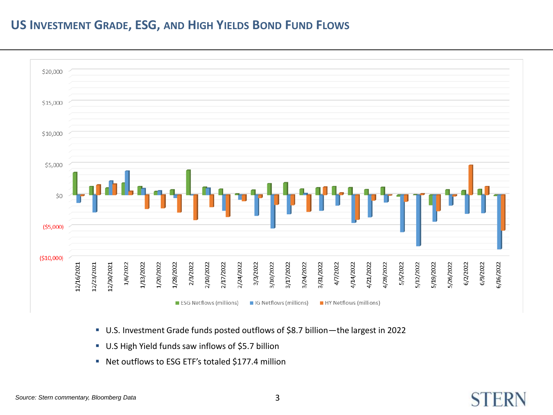#### **US INVESTMENT GRADE, ESG, AND HIGH YIELDS BOND FUND FLOWS**



- U.S. Investment Grade funds posted outflows of \$8.7 billion—the largest in 2022
- U.S High Yield funds saw inflows of \$5.7 billion
- Net outflows to ESG ETF's totaled \$177.4 million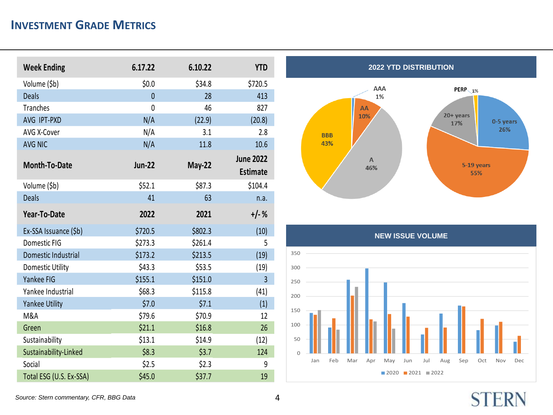### **INVESTMENT GRADE METRICS**

| <b>Week Ending</b>      | 6.17.22        | 6.10.22       | <b>YTD</b>       |
|-------------------------|----------------|---------------|------------------|
| Volume (\$b)            | \$0.0\$        | \$34.8        | \$720.5          |
| <b>Deals</b>            | $\overline{0}$ | 28            | 413              |
| <b>Tranches</b>         | 0              | 46            | 827              |
| AVG IPT-PXD             | N/A            | (22.9)        | (20.8)           |
| AVG X-Cover             | N/A            | 3.1           | 2.8              |
| <b>AVG NIC</b>          | N/A            | 11.8          | 10.6             |
|                         |                |               | <b>June 2022</b> |
| <b>Month-To-Date</b>    | <b>Jun-22</b>  | <b>May-22</b> | <b>Estimate</b>  |
| Volume (\$b)            | \$52.1         | \$87.3        | \$104.4          |
| <b>Deals</b>            | 41             | 63            | n.a.             |
| Year-To-Date            | 2022           | 2021          | $+/-%$           |
|                         |                |               |                  |
| Ex-SSA Issuance (\$b)   | \$720.5        | \$802.3       | (10)             |
| Domestic FIG            | \$273.3        | \$261.4       | 5                |
| Domestic Industrial     | \$173.2        | \$213.5       | (19)             |
| Domestic Utility        | \$43.3         | \$53.5        | (19)             |
| Yankee FIG              | \$155.1        | \$151.0       | 3                |
| Yankee Industrial       | \$68.3         | \$115.8       | (41)             |
| Yankee Utility          | \$7.0          | \$7.1         | (1)              |
| M&A                     | \$79.6         | \$70.9        | 12               |
| Green                   | \$21.1         | \$16.8        | 26               |
| Sustainability          | \$13.1         | \$14.9        | (12)             |
| Sustainability-Linked   | \$8.3          | \$3.7         | 124              |
| Social                  | \$2.5          | \$2.3         | 9                |
| Total ESG (U.S. Ex-SSA) | \$45.0         | \$37.7        | 19               |





# **STERN**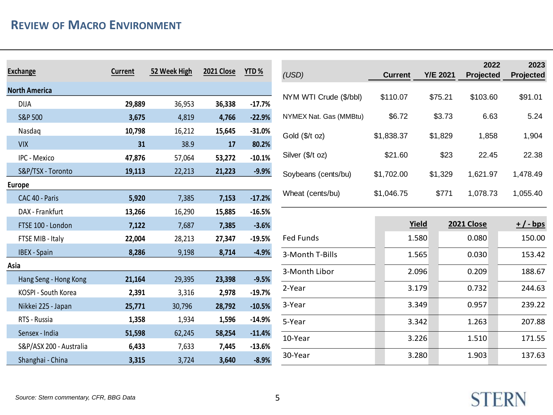| Exchange                | <b>Current</b> | 52 Week High | 2021 Close | YTD%     |
|-------------------------|----------------|--------------|------------|----------|
| <b>North America</b>    |                |              |            |          |
| <b>DIJA</b>             | 29,889         | 36,953       | 36,338     | $-17.7%$ |
| S&P 500                 | 3,675          | 4,819        | 4,766      | $-22.9%$ |
| Nasdaq                  | 10,798         | 16,212       | 15,645     | $-31.0%$ |
| <b>VIX</b>              | 31             | 38.9         | 17         | 80.2%    |
| IPC - Mexico            | 47,876         | 57,064       | 53,272     | $-10.1%$ |
| S&P/TSX - Toronto       | 19,113         | 22,213       | 21,223     | $-9.9%$  |
| Europe                  |                |              |            |          |
| CAC 40 - Paris          | 5,920          | 7,385        | 7,153      | $-17.2%$ |
| DAX - Frankfurt         | 13,266         | 16,290       | 15,885     | $-16.5%$ |
| FTSE 100 - London       | 7,122          | 7,687        | 7,385      | $-3.6%$  |
| FTSE MIB - Italy        | 22,004         | 28,213       | 27,347     | $-19.5%$ |
| <b>IBEX</b> - Spain     | 8,286          | 9,198        | 8,714      | $-4.9%$  |
| Asia                    |                |              |            |          |
| Hang Seng - Hong Kong   | 21,164         | 29,395       | 23,398     | $-9.5%$  |
| KOSPI - South Korea     | 2,391          | 3,316        | 2,978      | $-19.7%$ |
| Nikkei 225 - Japan      | 25,771         | 30,796       | 28,792     | $-10.5%$ |
| RTS - Russia            | 1,358          | 1,934        | 1,596      | $-14.9%$ |
| Sensex - India          | 51,598         | 62,245       | 58,254     | $-11.4%$ |
| S&P/ASX 200 - Australia | 6,433          | 7,633        | 7,445      | $-13.6%$ |
| Shanghai - China        | 3,315          | 3,724        | 3,640      | $-8.9%$  |

| (USD)                  | <b>Current</b> | <b>Y/E 2021</b> | 2022<br>Projected | 2023<br><b>Projected</b> |
|------------------------|----------------|-----------------|-------------------|--------------------------|
| NYM WTI Crude (\$/bbl) | \$110.07       | \$75.21         | \$103.60          | \$91.01                  |
| NYMEX Nat. Gas (MMBtu) | \$6.72         | \$3.73          | 6.63              | 5.24                     |
| Gold $($/t$ oz)        | \$1,838.37     | \$1,829         | 1,858             | 1,904                    |
| Silver (\$/t oz)       | \$21.60        | \$23            | 22.45             | 22.38                    |
| Soybeans (cents/bu)    | \$1,702.00     | \$1,329         | 1,621.97          | 1,478.49                 |
| Wheat (cents/bu)       | \$1,046.75     | \$771           | 1,078.73          | 1,055.40                 |

|                 | <b>Yield</b> | 2021 Close | $+$ / - bps |
|-----------------|--------------|------------|-------------|
| Fed Funds       | 1.580        | 0.080      | 150.00      |
| 3-Month T-Bills | 1.565        | 0.030      | 153.42      |
| 3-Month Libor   | 2.096        | 0.209      | 188.67      |
| 2-Year          | 3.179        | 0.732      | 244.63      |
| 3-Year          | 3.349        | 0.957      | 239.22      |
| 5-Year          | 3.342        | 1.263      | 207.88      |
| 10-Year         | 3.226        | 1.510      | 171.55      |
| 30-Year         | 3.280        | 1.903      | 137.63      |
|                 |              |            |             |

**STERN**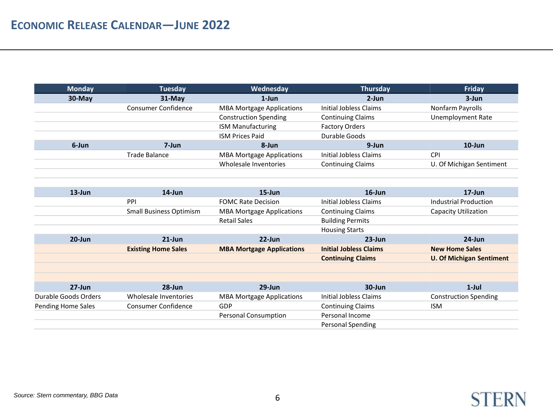| <b>Monday</b> | Tuesday                    | Wednesday                        | Thursday                 | Friday                   |
|---------------|----------------------------|----------------------------------|--------------------------|--------------------------|
| $30-Mav$      | $31-Mav$                   | $1$ -Jun                         | $2$ -Jun                 | 3-Jun                    |
|               | <b>Consumer Confidence</b> | <b>MBA Mortgage Applications</b> | Initial Jobless Claims   | Nonfarm Payrolls         |
|               |                            | <b>Construction Spending</b>     | <b>Continuing Claims</b> | <b>Unemployment Rate</b> |
|               |                            | <b>ISM Manufacturing</b>         | <b>Factory Orders</b>    |                          |
|               |                            | <b>ISM Prices Paid</b>           | Durable Goods            |                          |
| 6-Jun         | 7-Jun                      | 8-Jun                            | 9-Jun                    | $10$ -Jun                |
|               | Trade Balance              | <b>MBA Mortgage Applications</b> | Initial Jobless Claims   | <b>CPI</b>               |
|               |                            | Wholesale Inventories            | <b>Continuing Claims</b> | U. Of Michigan Sentiment |

| $13$ -Jun            | $14$ -Jun                      | $15$ -Jun                        | $16$ -Jun                     | $17$ -Jun                       |
|----------------------|--------------------------------|----------------------------------|-------------------------------|---------------------------------|
|                      | PPI                            | <b>FOMC Rate Decision</b>        | Initial Jobless Claims        | <b>Industrial Production</b>    |
|                      | <b>Small Business Optimism</b> | <b>MBA Mortgage Applications</b> | <b>Continuing Claims</b>      | Capacity Utilization            |
|                      |                                | <b>Retail Sales</b>              | <b>Building Permits</b>       |                                 |
|                      |                                |                                  | <b>Housing Starts</b>         |                                 |
| $20$ -Jun            | $21$ -Jun                      | $22$ -Jun                        | $23$ -Jun                     | $24$ -Jun                       |
|                      | <b>Existing Home Sales</b>     | <b>MBA Mortgage Applications</b> | <b>Initial Jobless Claims</b> | <b>New Home Sales</b>           |
|                      |                                |                                  | <b>Continuing Claims</b>      | <b>U. Of Michigan Sentiment</b> |
|                      |                                |                                  |                               |                                 |
|                      |                                |                                  |                               |                                 |
| $27 - Jun$           | $28 - Jun$                     | $29$ -Jun                        | $30 - Jun$                    | $1$ -Jul                        |
| Durable Goods Orders | Wholesale Inventories          | <b>MBA Mortgage Applications</b> | Initial Jobless Claims        | <b>Construction Spending</b>    |
| Pending Home Sales   | Consumer Confidence            | GDP                              | <b>Continuing Claims</b>      | <b>ISM</b>                      |
|                      |                                | <b>Personal Consumption</b>      | Personal Income               |                                 |
|                      |                                |                                  | <b>Personal Spending</b>      |                                 |